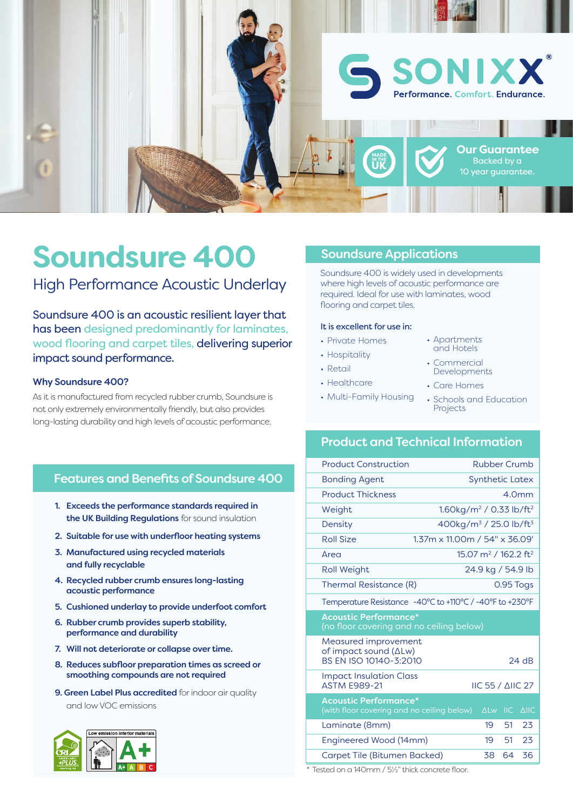

# **Soundsure 400**

High Performance Acoustic Underlay

Soundsure 400 is an acoustic resilient layer that has been designed predominantly for laminates, wood flooring and carpet tiles, delivering superior impact sound performance.

#### Why Soundsure 400?

As it is manufactured from recycled rubber crumb, Soundsure is not only extremely environmentally friendly, but also provides long-lasting durability and high levels of acoustic performance.

#### Features and Benefits of Soundsure 400

- 1. Exceeds the performance standards required in the UK Building Regulations for sound insulation
- 2. Suitable for use with underfloor heating systems
- 3. Manufactured using recycled materials and fully recyclable
- 4. Recycled rubber crumb ensures long-lasting acoustic performance
- 5. Cushioned underlay to provide underfoot comfort
- 6. Rubber crumb provides superb stability, performance and durability
- 7. Will not deteriorate or collapse over time.
- 8. Reduces subfloor preparation times as screed or smoothing compounds are not required
- 9. Green Label Plus accredited for indoor air quality and low VOC emissions



#### Soundsure Applications

Soundsure 400 is widely used in developments where high levels of acoustic performance are required. Ideal for use with laminates, wood flooring and carpet tiles.

#### It is excellent for use in:

- Private Homes
- Hospitality
- Retail
- Healthcare
- Multi-Family Housing
- Apartments and Hotels
- Commercial Developments
- Care Homes
- Schools and Education Projects

## Product and Technical Information

| <b>Synthetic Latex</b><br><b>Bonding Agent</b><br><b>Product Thickness</b><br>4.0mm                                    |             |
|------------------------------------------------------------------------------------------------------------------------|-------------|
|                                                                                                                        |             |
|                                                                                                                        |             |
| 1.60kg/m <sup>2</sup> / 0.33 lb/ft <sup>2</sup><br>Weight                                                              |             |
| 400kg/m <sup>3</sup> / 25.0 lb/ft <sup>3</sup><br>Density                                                              |             |
| Roll Size<br>1.37m x 11.00m / 54" x 36.09'                                                                             |             |
| 15.07 m <sup>2</sup> / 162.2 ft <sup>2</sup><br>Area                                                                   |             |
| 24.9 kg / 54.9 lb<br><b>Roll Weight</b>                                                                                |             |
| Thermal Resistance (R)<br>0.95 Togs                                                                                    |             |
| Temperature Resistance -40°C to +110°C / -40°F to +230°F                                                               |             |
| <b>Acoustic Performance*</b><br>(no floor covering and no ceiling below)                                               |             |
| Measured improvement                                                                                                   |             |
| of impact sound $(\Delta L w)$<br>BS EN ISO 10140-3:2010<br>$24$ dB                                                    |             |
| <b>Impact Insulation Class</b><br><b>ASTM F989-21</b><br><b>IIC 55 / AIIC 27</b>                                       |             |
| <b>Acoustic Performance*</b><br>(with floor covering and no ceiling below)<br>$\Delta$ Lw<br>$\overline{\mathsf{IIC}}$ | <b>AIIC</b> |
| 19<br>51<br>Laminate (8mm)                                                                                             | 23          |
| 51<br>Engineered Wood (14mm)<br>19                                                                                     | 23          |

Tested on a 140mm / 51/2" thick concrete floor.